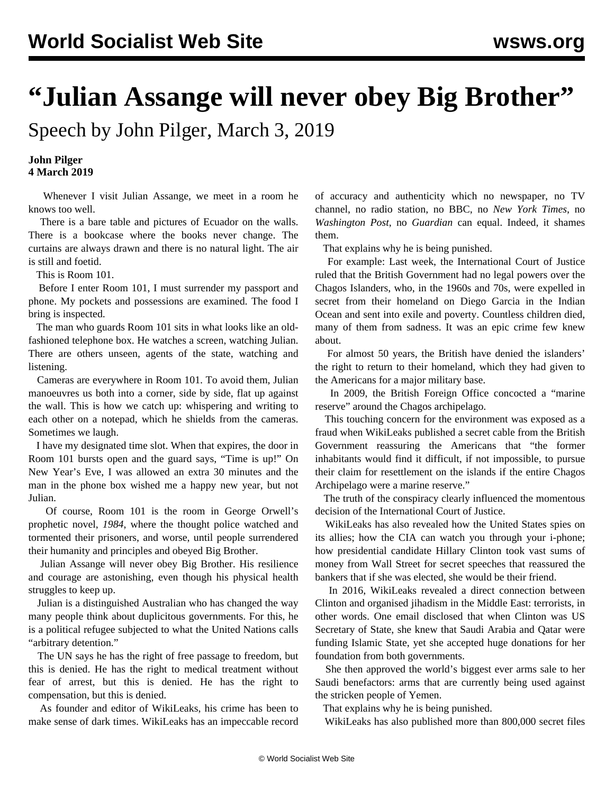## **"Julian Assange will never obey Big Brother"**

Speech by John Pilger, March 3, 2019

## **John Pilger 4 March 2019**

 Whenever I visit Julian Assange, we meet in a room he knows too well.

 There is a bare table and pictures of Ecuador on the walls. There is a bookcase where the books never change. The curtains are always drawn and there is no natural light. The air is still and foetid.

This is Room 101.

 Before I enter Room 101, I must surrender my passport and phone. My pockets and possessions are examined. The food I bring is inspected.

 The man who guards Room 101 sits in what looks like an oldfashioned telephone box. He watches a screen, watching Julian. There are others unseen, agents of the state, watching and listening.

 Cameras are everywhere in Room 101. To avoid them, Julian manoeuvres us both into a corner, side by side, flat up against the wall. This is how we catch up: whispering and writing to each other on a notepad, which he shields from the cameras. Sometimes we laugh.

 I have my designated time slot. When that expires, the door in Room 101 bursts open and the guard says, "Time is up!" On New Year's Eve, I was allowed an extra 30 minutes and the man in the phone box wished me a happy new year, but not Julian.

 Of course, Room 101 is the room in George Orwell's prophetic novel, *1984*, where the thought police watched and tormented their prisoners, and worse, until people surrendered their humanity and principles and obeyed Big Brother.

 Julian Assange will never obey Big Brother. His resilience and courage are astonishing, even though his physical health struggles to keep up.

 Julian is a distinguished Australian who has changed the way many people think about duplicitous governments. For this, he is a political refugee subjected to what the United Nations calls "arbitrary detention."

 The UN says he has the right of free passage to freedom, but this is denied. He has the right to medical treatment without fear of arrest, but this is denied. He has the right to compensation, but this is denied.

 As founder and editor of WikiLeaks, his crime has been to make sense of dark times. WikiLeaks has an impeccable record of accuracy and authenticity which no newspaper, no TV channel, no radio station, no BBC, no *New York Times*, no *Washington Post*, no *Guardian* can equal. Indeed, it shames them.

That explains why he is being punished.

 For example: Last week, the International Court of Justice ruled that the British Government had no legal powers over the Chagos Islanders, who, in the 1960s and 70s, were expelled in secret from their homeland on Diego Garcia in the Indian Ocean and sent into exile and poverty. Countless children died, many of them from sadness. It was an epic crime few knew about.

 For almost 50 years, the British have denied the islanders' the right to return to their homeland, which they had given to the Americans for a major military base.

 In 2009, the British Foreign Office concocted a "marine reserve" around the Chagos archipelago.

 This touching concern for the environment was exposed as a fraud when WikiLeaks published a secret cable from the British Government reassuring the Americans that "the former inhabitants would find it difficult, if not impossible, to pursue their claim for resettlement on the islands if the entire Chagos Archipelago were a marine reserve."

 The truth of the conspiracy clearly influenced the momentous decision of the International Court of Justice.

 WikiLeaks has also revealed how the United States spies on its allies; how the CIA can watch you through your i-phone; how presidential candidate Hillary Clinton took vast sums of money from Wall Street for secret speeches that reassured the bankers that if she was elected, she would be their friend.

 In 2016, WikiLeaks revealed a direct connection between Clinton and organised jihadism in the Middle East: terrorists, in other words. One email disclosed that when Clinton was US Secretary of State, she knew that Saudi Arabia and Qatar were funding Islamic State, yet she accepted huge donations for her foundation from both governments.

 She then approved the world's biggest ever arms sale to her Saudi benefactors: arms that are currently being used against the stricken people of Yemen.

That explains why he is being punished.

WikiLeaks has also published more than 800,000 secret files